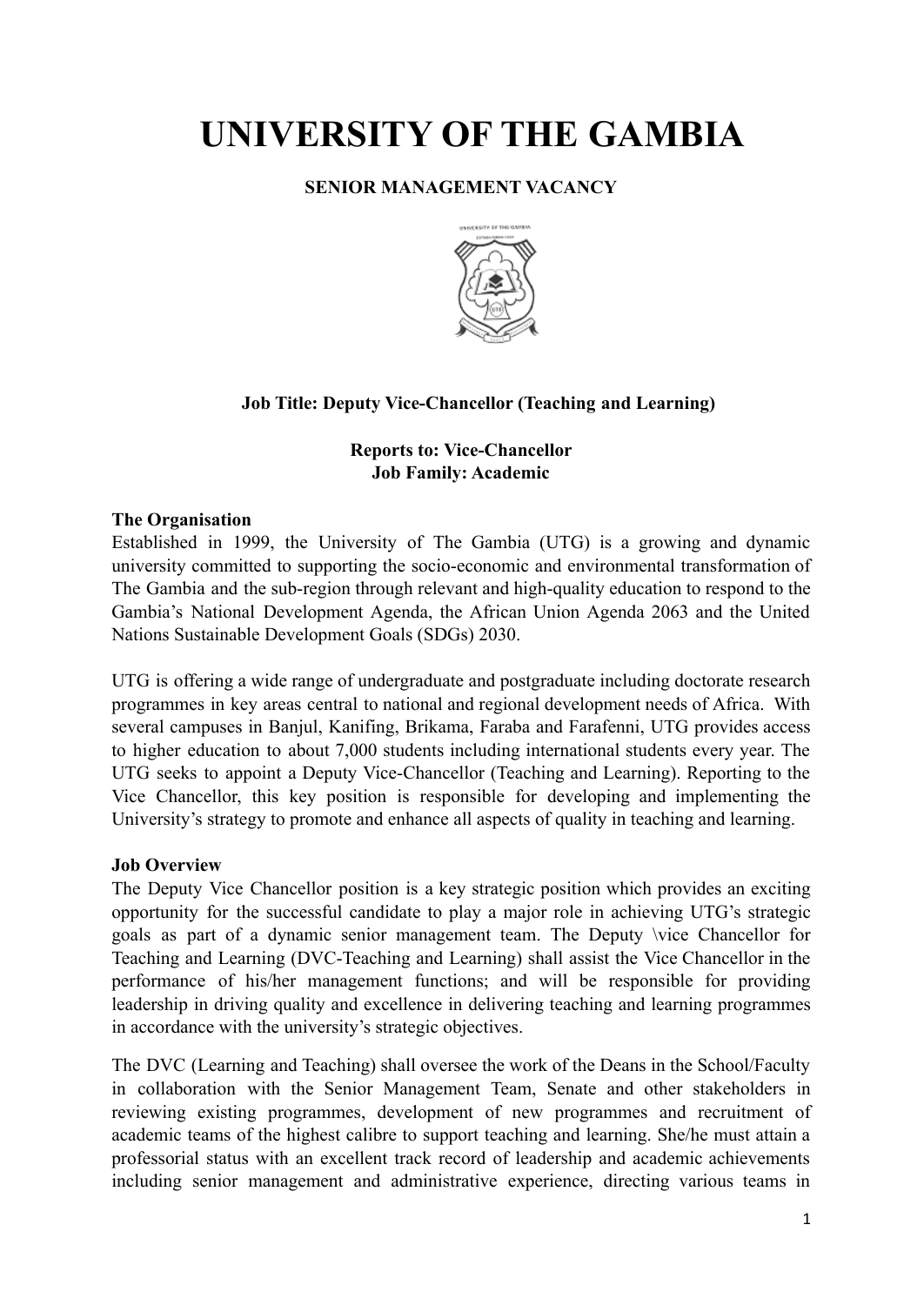# **UNIVERSITY OF THE GAMBIA**

# **SENIOR MANAGEMENT VACANCY**



# **Job Title: Deputy Vice-Chancellor (Teaching and Learning)**

## **Reports to: Vice-Chancellor Job Family: Academic**

### **The Organisation**

Established in 1999, the University of The Gambia (UTG) is a growing and dynamic university committed to supporting the socio-economic and environmental transformation of The Gambia and the sub-region through relevant and high-quality education to respond to the Gambia's National Development Agenda, the African Union Agenda 2063 and the United Nations Sustainable Development Goals (SDGs) 2030.

UTG is offering a wide range of undergraduate and postgraduate including doctorate research programmes in key areas central to national and regional development needs of Africa. With several campuses in Banjul, Kanifing, Brikama, Faraba and Farafenni, UTG provides access to higher education to about 7,000 students including international students every year. The UTG seeks to appoint a Deputy Vice-Chancellor (Teaching and Learning). Reporting to the Vice Chancellor, this key position is responsible for developing and implementing the University's strategy to promote and enhance all aspects of quality in teaching and learning.

## **Job Overview**

The Deputy Vice Chancellor position is a key strategic position which provides an exciting opportunity for the successful candidate to play a major role in achieving UTG's strategic goals as part of a dynamic senior management team. The Deputy \vice Chancellor for Teaching and Learning (DVC-Teaching and Learning) shall assist the Vice Chancellor in the performance of his/her management functions; and will be responsible for providing leadership in driving quality and excellence in delivering teaching and learning programmes in accordance with the university's strategic objectives.

The DVC (Learning and Teaching) shall oversee the work of the Deans in the School/Faculty in collaboration with the Senior Management Team, Senate and other stakeholders in reviewing existing programmes, development of new programmes and recruitment of academic teams of the highest calibre to support teaching and learning. She/he must attain a professorial status with an excellent track record of leadership and academic achievements including senior management and administrative experience, directing various teams in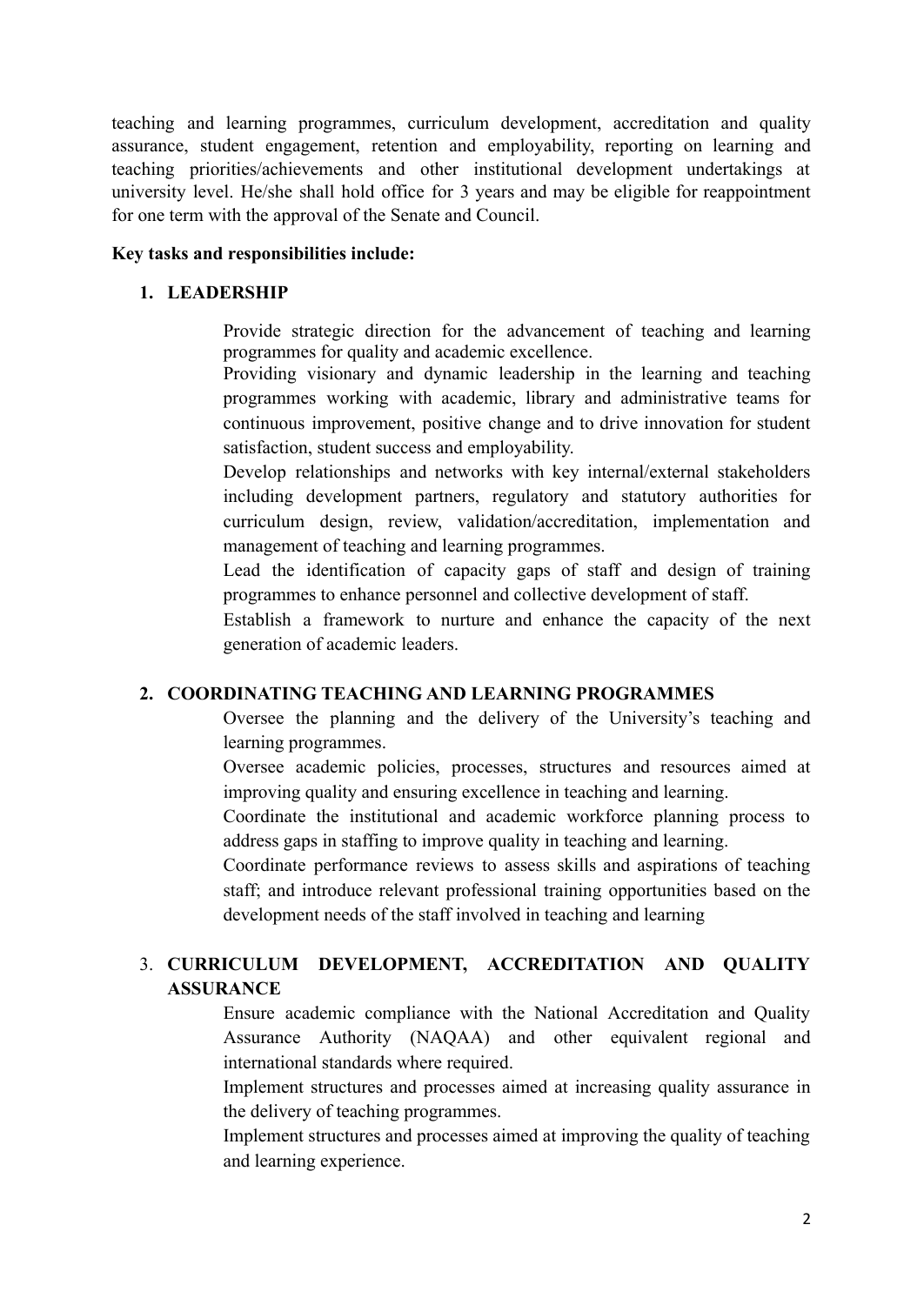teaching and learning programmes, curriculum development, accreditation and quality assurance, student engagement, retention and employability, reporting on learning and teaching priorities/achievements and other institutional development undertakings at university level. He/she shall hold office for 3 years and may be eligible for reappointment for one term with the approval of the Senate and Council.

#### **Key tasks and responsibilities include:**

#### **1. LEADERSHIP**

Provide strategic direction for the advancement of teaching and learning programmes for quality and academic excellence.

Providing visionary and dynamic leadership in the learning and teaching programmes working with academic, library and administrative teams for continuous improvement, positive change and to drive innovation for student satisfaction, student success and employability.

Develop relationships and networks with key internal/external stakeholders including development partners, regulatory and statutory authorities for curriculum design, review, validation/accreditation, implementation and management of teaching and learning programmes.

Lead the identification of capacity gaps of staff and design of training programmes to enhance personnel and collective development of staff.

Establish a framework to nurture and enhance the capacity of the next generation of academic leaders.

## **2. COORDINATING TEACHING AND LEARNING PROGRAMMES**

Oversee the planning and the delivery of the University's teaching and learning programmes.

Oversee academic policies, processes, structures and resources aimed at improving quality and ensuring excellence in teaching and learning.

Coordinate the institutional and academic workforce planning process to address gaps in staffing to improve quality in teaching and learning.

Coordinate performance reviews to assess skills and aspirations of teaching staff; and introduce relevant professional training opportunities based on the development needs of the staff involved in teaching and learning

# 3. **CURRICULUM DEVELOPMENT, ACCREDITATION AND QUALITY ASSURANCE**

Ensure academic compliance with the National Accreditation and Quality Assurance Authority (NAQAA) and other equivalent regional and international standards where required.

Implement structures and processes aimed at increasing quality assurance in the delivery of teaching programmes.

Implement structures and processes aimed at improving the quality of teaching and learning experience.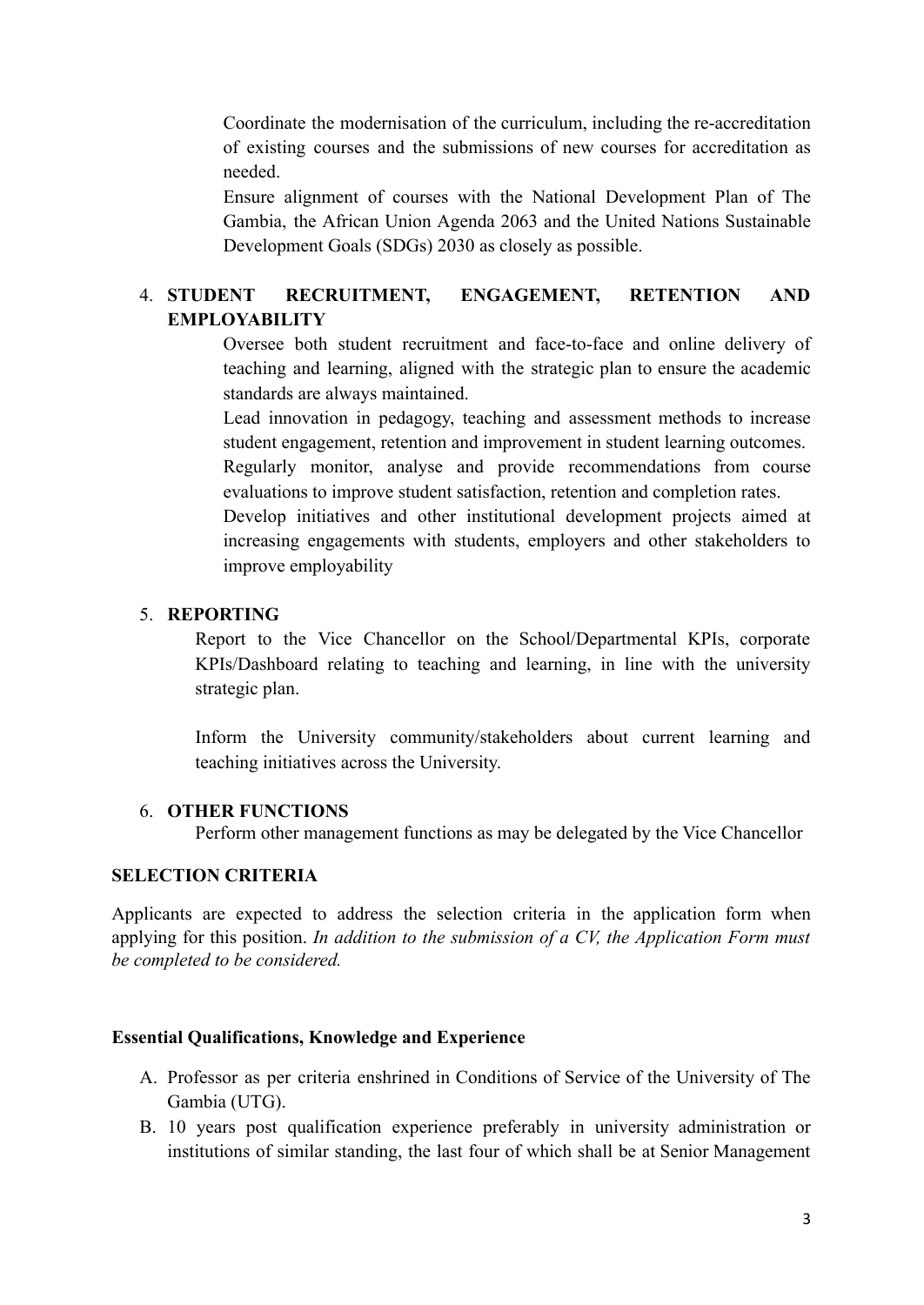Coordinate the modernisation of the curriculum, including the re-accreditation of existing courses and the submissions of new courses for accreditation as needed.

Ensure alignment of courses with the National Development Plan of The Gambia, the African Union Agenda 2063 and the United Nations Sustainable Development Goals (SDGs) 2030 as closely as possible.

# 4. **STUDENT RECRUITMENT, ENGAGEMENT, RETENTION AND EMPLOYABILITY**

Oversee both student recruitment and face-to-face and online delivery of teaching and learning, aligned with the strategic plan to ensure the academic standards are always maintained.

Lead innovation in pedagogy, teaching and assessment methods to increase student engagement, retention and improvement in student learning outcomes.

Regularly monitor, analyse and provide recommendations from course evaluations to improve student satisfaction, retention and completion rates.

Develop initiatives and other institutional development projects aimed at increasing engagements with students, employers and other stakeholders to improve employability

#### 5. **REPORTING**

Report to the Vice Chancellor on the School/Departmental KPIs, corporate KPIs/Dashboard relating to teaching and learning, in line with the university strategic plan.

Inform the University community/stakeholders about current learning and teaching initiatives across the University.

#### 6. **OTHER FUNCTIONS**

Perform other management functions as may be delegated by the Vice Chancellor

## **SELECTION CRITERIA**

Applicants are expected to address the selection criteria in the application form when applying for this position. *In addition to the submission of a CV, the Application Form must be completed to be considered.*

#### **Essential Qualifications, Knowledge and Experience**

- A. Professor as per criteria enshrined in Conditions of Service of the University of The Gambia (UTG).
- B. 10 years post qualification experience preferably in university administration or institutions of similar standing, the last four of which shall be at Senior Management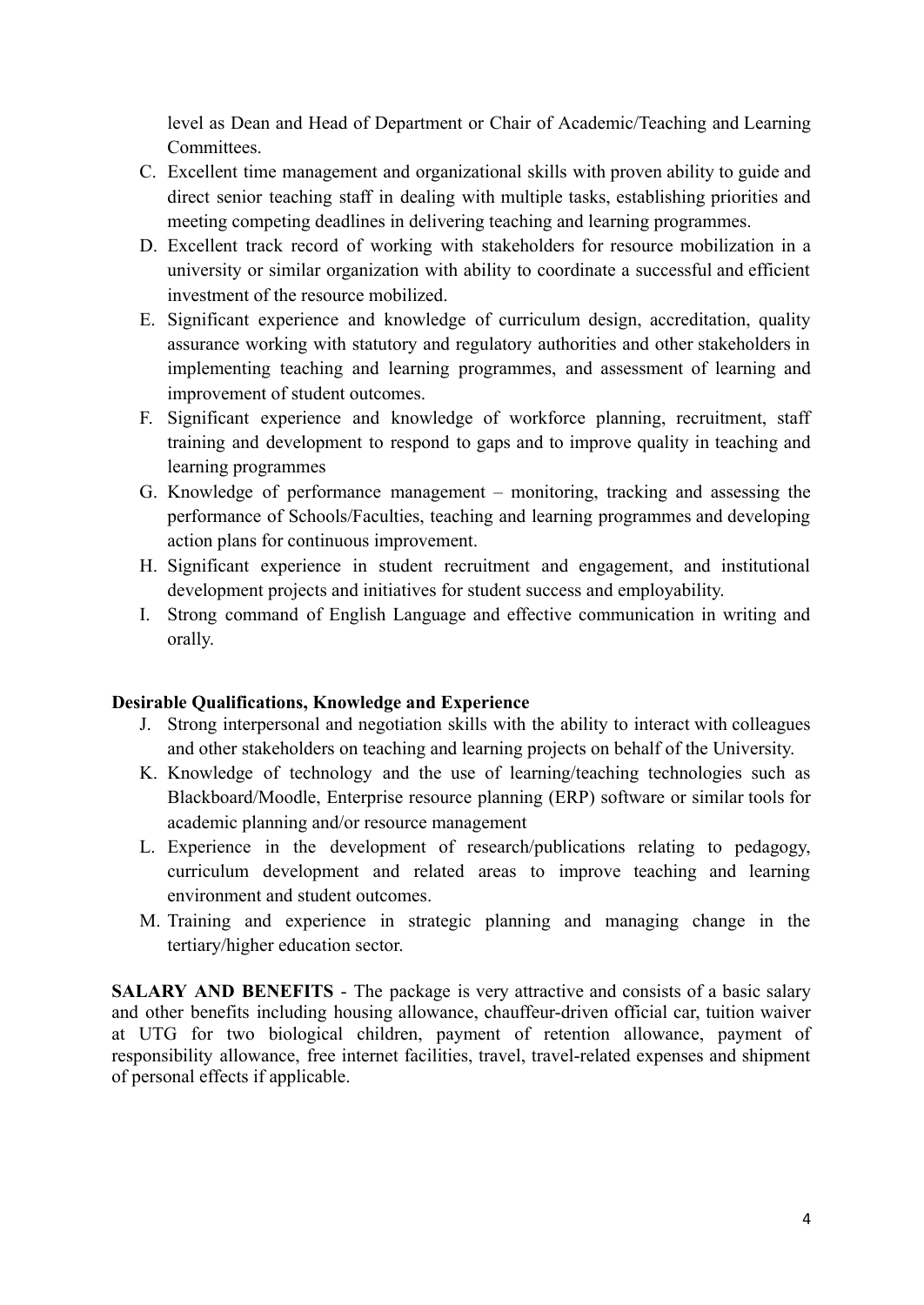level as Dean and Head of Department or Chair of Academic/Teaching and Learning **Committees** 

- C. Excellent time management and organizational skills with proven ability to guide and direct senior teaching staff in dealing with multiple tasks, establishing priorities and meeting competing deadlines in delivering teaching and learning programmes.
- D. Excellent track record of working with stakeholders for resource mobilization in a university or similar organization with ability to coordinate a successful and efficient investment of the resource mobilized.
- E. Significant experience and knowledge of curriculum design, accreditation, quality assurance working with statutory and regulatory authorities and other stakeholders in implementing teaching and learning programmes, and assessment of learning and improvement of student outcomes.
- F. Significant experience and knowledge of workforce planning, recruitment, staff training and development to respond to gaps and to improve quality in teaching and learning programmes
- G. Knowledge of performance management monitoring, tracking and assessing the performance of Schools/Faculties, teaching and learning programmes and developing action plans for continuous improvement.
- H. Significant experience in student recruitment and engagement, and institutional development projects and initiatives for student success and employability.
- I. Strong command of English Language and effective communication in writing and orally.

## **Desirable Qualifications, Knowledge and Experience**

- J. Strong interpersonal and negotiation skills with the ability to interact with colleagues and other stakeholders on teaching and learning projects on behalf of the University.
- K. Knowledge of technology and the use of learning/teaching technologies such as Blackboard/Moodle, Enterprise resource planning (ERP) software or similar tools for academic planning and/or resource management
- L. Experience in the development of research/publications relating to pedagogy, curriculum development and related areas to improve teaching and learning environment and student outcomes.
- M. Training and experience in strategic planning and managing change in the tertiary/higher education sector.

**SALARY AND BENEFITS** - The package is very attractive and consists of a basic salary and other benefits including housing allowance, chauffeur-driven official car, tuition waiver at UTG for two biological children, payment of retention allowance, payment of responsibility allowance, free internet facilities, travel, travel-related expenses and shipment of personal effects if applicable.